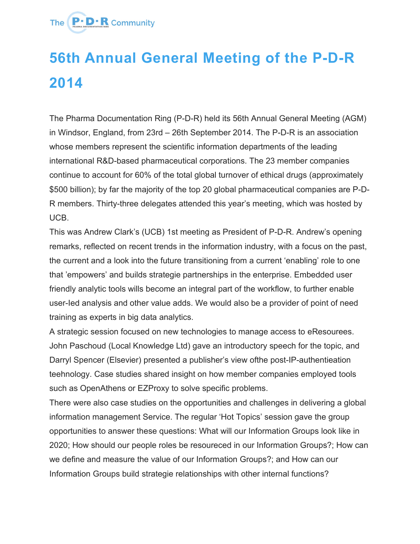

## **56th Annual General Meeting of the P-D-R 2014**

The Pharma Documentation Ring (P-D-R) held its 56th Annual General Meeting (AGM) in Windsor, England, from 23rd – 26th September 2014. The P-D-R is an association whose members represent the scientific information departments of the leading international R&D-based pharmaceutical corporations. The 23 member companies continue to account for 60% of the total global turnover of ethical drugs (approximately \$500 billion); by far the majority of the top 20 global pharmaceutical companies are P-D-R members. Thirty-three delegates attended this year's meeting, which was hosted by UCB.

This was Andrew Clark's (UCB) 1st meeting as President of P-D-R. Andrew's opening remarks, reflected on recent trends in the information industry, with a focus on the past, the current and a look into the future transitioning from a current 'enabling' role to one that 'empowers' and builds strategie partnerships in the enterprise. Embedded user friendly analytic tools wills become an integral part of the workflow, to further enable user-Ied analysis and other value adds. We would also be a provider of point of need training as experts in big data analytics.

A strategic session focused on new technologies to manage access to eResourees. John Paschoud (Local Knowledge Ltd) gave an introductory speech for the topic, and Darryl Spencer (Elsevier) presented a publisher's view ofthe post-IP-authentieation teehnology. Case studies shared insight on how member companies employed tools such as OpenAthens or EZProxy to solve specific problems.

There were also case studies on the opportunities and challenges in delivering a global information management Service. The regular 'Hot Topics' session gave the group opportunities to answer these questions: What will our Information Groups look like in 2020; How should our people roles be resoureced in our Information Groups?; How can we define and measure the value of our Information Groups?; and How can our Information Groups build strategie relationships with other internal functions?